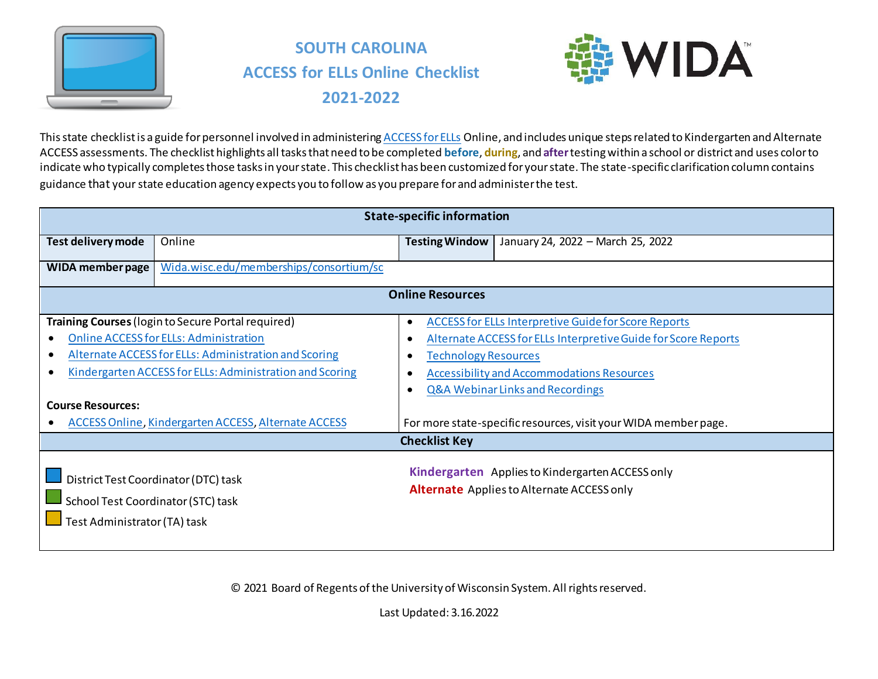

# **SOUTH CAROLINA ACCESS for ELLs Online Checklist 2021-2022**



This state checklist is a guide for personnel involved in administerin[g ACCESS for ELLs](https://wida.wisc.edu/assess/access) Online, and includes unique steps related to Kindergarten and Alternate ACCESS assessments. The checklist highlights all tasks that need to be completed **before**, **during**, and **after**testing within a school or district and uses color to indicate who typically completes those tasks in your state. This checklist has been customized for your state. The state-specific clarification column contains guidance that your state education agency expects you to follow as you prepare for and administer the test.

|                                                                    | <b>State-specific information</b>                                                                                                                                                                                                                                                       |                             |                                                                                                                                                                                                                                                                                                      |  |  |  |
|--------------------------------------------------------------------|-----------------------------------------------------------------------------------------------------------------------------------------------------------------------------------------------------------------------------------------------------------------------------------------|-----------------------------|------------------------------------------------------------------------------------------------------------------------------------------------------------------------------------------------------------------------------------------------------------------------------------------------------|--|--|--|
| Test delivery mode                                                 | Online                                                                                                                                                                                                                                                                                  | <b>Testing Window</b>       | January 24, 2022 - March 25, 2022                                                                                                                                                                                                                                                                    |  |  |  |
| WIDA member page                                                   | Wida.wisc.edu/memberships/consortium/sc                                                                                                                                                                                                                                                 |                             |                                                                                                                                                                                                                                                                                                      |  |  |  |
|                                                                    |                                                                                                                                                                                                                                                                                         | <b>Online Resources</b>     |                                                                                                                                                                                                                                                                                                      |  |  |  |
| <b>Course Resources:</b>                                           | Training Courses (login to Secure Portal required)<br><b>Online ACCESS for ELLs: Administration</b><br>Alternate ACCESS for ELLs: Administration and Scoring<br>Kindergarten ACCESS for ELLs: Administration and Scoring<br><b>ACCESS Online, Kindergarten ACCESS, Alternate ACCESS</b> | <b>Technology Resources</b> | <b>ACCESS for ELLs Interpretive Guide for Score Reports</b><br>Alternate ACCESS for ELLs Interpretive Guide for Score Reports<br><b>Accessibility and Accommodations Resources</b><br><b>Q&amp;A Webinar Links and Recordings</b><br>For more state-specific resources, visit your WIDA member page. |  |  |  |
|                                                                    |                                                                                                                                                                                                                                                                                         | <b>Checklist Key</b>        |                                                                                                                                                                                                                                                                                                      |  |  |  |
| School Test Coordinator (STC) task<br>Test Administrator (TA) task | District Test Coordinator (DTC) task                                                                                                                                                                                                                                                    |                             | Kindergarten Applies to Kindergarten ACCESS only<br><b>Alternate</b> Applies to Alternate ACCESS only                                                                                                                                                                                                |  |  |  |

© 2021 Board of Regents of the University of Wisconsin System. All rights reserved.

Last Updated: 3.16.2022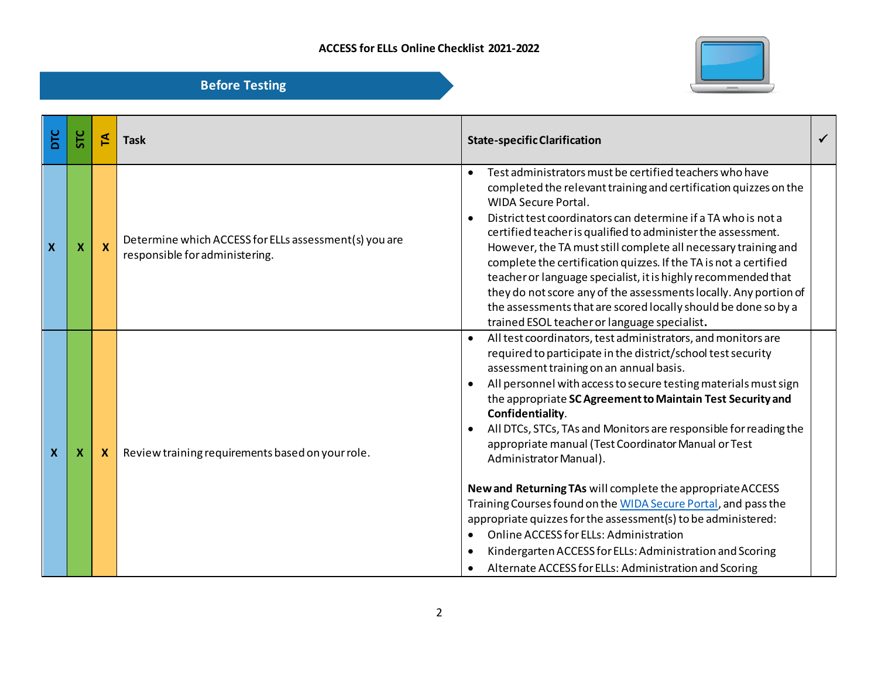

| DTC              | Ξc | 돈                         | <b>Task</b>                                                                             | <b>State-specific Clarification</b>                                                                                                                                                                                                                                                                                                                                                                                                                                                                                                                                                                                                                                                                                                                                                                                                                                                                   |  |
|------------------|----|---------------------------|-----------------------------------------------------------------------------------------|-------------------------------------------------------------------------------------------------------------------------------------------------------------------------------------------------------------------------------------------------------------------------------------------------------------------------------------------------------------------------------------------------------------------------------------------------------------------------------------------------------------------------------------------------------------------------------------------------------------------------------------------------------------------------------------------------------------------------------------------------------------------------------------------------------------------------------------------------------------------------------------------------------|--|
| X                | X  | $\boldsymbol{\mathsf{X}}$ | Determine which ACCESS for ELLs assessment(s) you are<br>responsible for administering. | Test administrators must be certified teachers who have<br>$\bullet$<br>completed the relevant training and certification quizzes on the<br><b>WIDA Secure Portal.</b><br>District test coordinators can determine if a TA who is not a<br>$\bullet$<br>certified teacher is qualified to administer the assessment.<br>However, the TA must still complete all necessary training and<br>complete the certification quizzes. If the TA is not a certified<br>teacher or language specialist, it is highly recommended that<br>they do not score any of the assessments locally. Any portion of<br>the assessments that are scored locally should be done so by a<br>trained ESOL teacher or language specialist.                                                                                                                                                                                     |  |
| $\boldsymbol{X}$ | х  | X.                        | Review training requirements based on your role.                                        | All test coordinators, test administrators, and monitors are<br>$\bullet$<br>required to participate in the district/school test security<br>assessment training on an annual basis.<br>All personnel with access to secure testing materials must sign<br>the appropriate SC Agreement to Maintain Test Security and<br>Confidentiality.<br>All DTCs, STCs, TAs and Monitors are responsible for reading the<br>appropriate manual (Test Coordinator Manual or Test<br>Administrator Manual).<br>New and Returning TAs will complete the appropriate ACCESS<br>Training Courses found on the WIDA Secure Portal, and pass the<br>appropriate quizzes for the assessment(s) to be administered:<br>Online ACCESS for ELLs: Administration<br>$\bullet$<br>Kindergarten ACCESS for ELLs: Administration and Scoring<br>$\bullet$<br>Alternate ACCESS for ELLs: Administration and Scoring<br>$\bullet$ |  |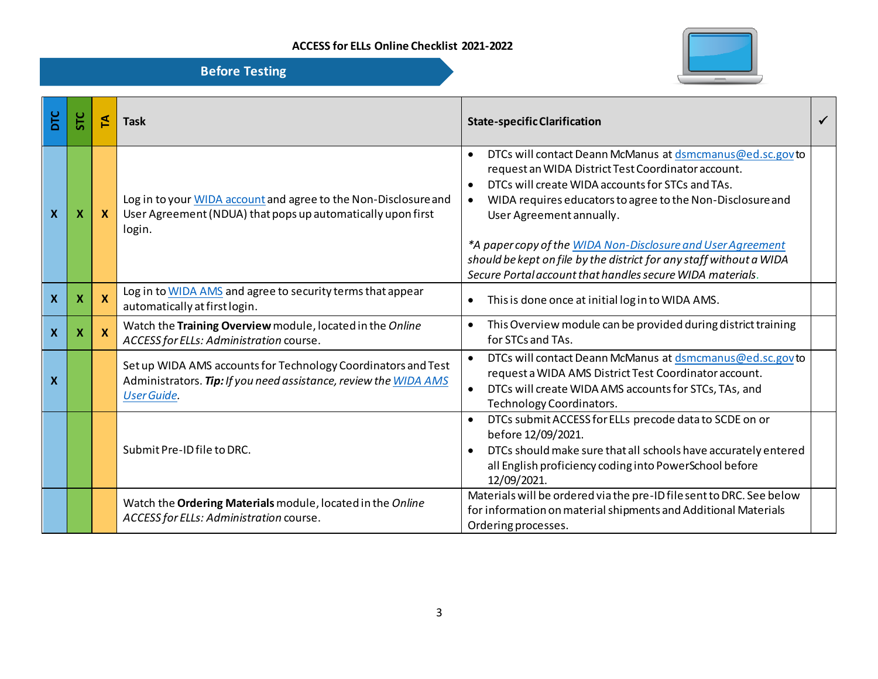

| Ξ | STC                       | E                         | <b>Task</b>                                                                                                                                             | <b>State-specific Clarification</b>                                                                                                                                                                                                                                                                                                                                                                                                                                                                    |  |
|---|---------------------------|---------------------------|---------------------------------------------------------------------------------------------------------------------------------------------------------|--------------------------------------------------------------------------------------------------------------------------------------------------------------------------------------------------------------------------------------------------------------------------------------------------------------------------------------------------------------------------------------------------------------------------------------------------------------------------------------------------------|--|
| X | X                         | $\boldsymbol{\mathsf{X}}$ | Log in to your WIDA account and agree to the Non-Disclosure and<br>User Agreement (NDUA) that pops up automatically upon first<br>login.                | DTCs will contact Deann McManus at dsmcmanus@ed.sc.govto<br>$\bullet$<br>request an WIDA District Test Coordinator account.<br>DTCs will create WIDA accounts for STCs and TAs.<br>$\bullet$<br>WIDA requires educators to agree to the Non-Disclosure and<br>$\bullet$<br>User Agreement annually.<br>*A paper copy of the WIDA Non-Disclosure and User Agreement<br>should be kept on file by the district for any staff without a WIDA<br>Secure Portal account that handles secure WIDA materials. |  |
| X | X                         | $\mathbf x$               | Log in to WIDA AMS and agree to security terms that appear<br>automatically at first login.                                                             | This is done once at initial log in to WIDA AMS.<br>$\bullet$                                                                                                                                                                                                                                                                                                                                                                                                                                          |  |
| X | $\boldsymbol{\mathsf{X}}$ | $\mathbf x$               | Watch the Training Overview module, located in the Online<br>ACCESS for ELLs: Administration course.                                                    | This Overview module can be provided during district training<br>$\bullet$<br>for STCs and TAs.                                                                                                                                                                                                                                                                                                                                                                                                        |  |
| X |                           |                           | Set up WIDA AMS accounts for Technology Coordinators and Test<br>Administrators. Tip: If you need assistance, review the WIDA AMS<br><b>User Guide.</b> | DTCs will contact Deann McManus at dsmcmanus@ed.sc.govto<br>$\bullet$<br>request a WIDA AMS District Test Coordinator account.<br>DTCs will create WIDA AMS accounts for STCs, TAs, and<br>$\bullet$<br>Technology Coordinators.                                                                                                                                                                                                                                                                       |  |
|   |                           |                           | Submit Pre-ID file to DRC.                                                                                                                              | DTCs submit ACCESS for ELLs precode data to SCDE on or<br>$\bullet$<br>before 12/09/2021.<br>DTCs should make sure that all schools have accurately entered<br>all English proficiency coding into PowerSchool before<br>12/09/2021.                                                                                                                                                                                                                                                                   |  |
|   |                           |                           | Watch the Ordering Materials module, located in the Online<br>ACCESS for ELLs: Administration course.                                                   | Materials will be ordered via the pre-ID filesent to DRC. See below<br>for information on material shipments and Additional Materials<br>Ordering processes.                                                                                                                                                                                                                                                                                                                                           |  |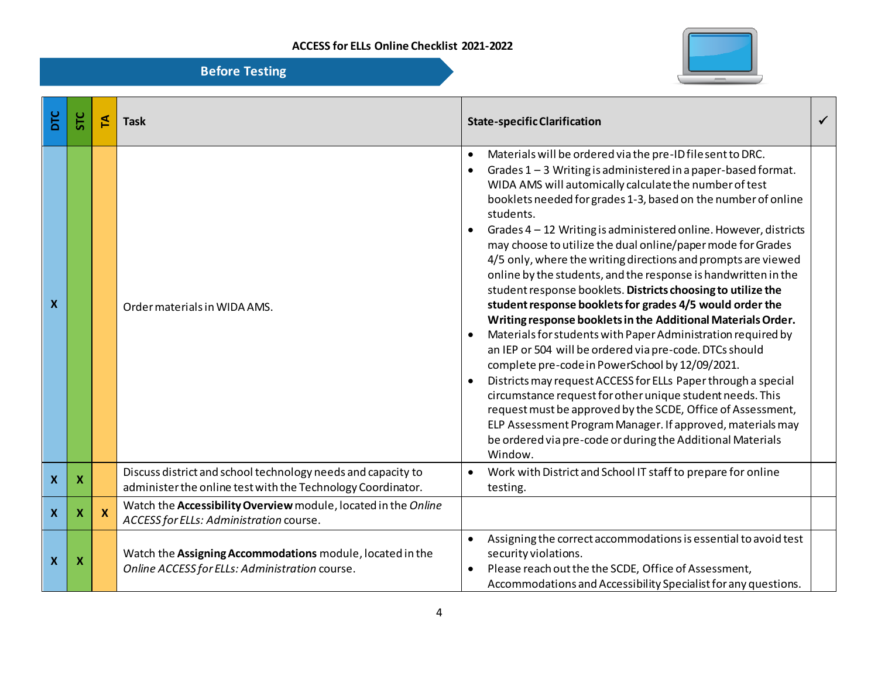

| <b>Before Testing</b> |  |  |
|-----------------------|--|--|
|                       |  |  |

| DTC                       | STC | 돈        | <b>Task</b>                                                                                                                 | <b>State-specific Clarification</b>                                                                                                                                                                                                                                                                                                                                                                                                                                                                                                                                                                                                                                                                                                                                                                                                                                                                                                                                                                                                                                                                                                                                                                                                                               |  |
|---------------------------|-----|----------|-----------------------------------------------------------------------------------------------------------------------------|-------------------------------------------------------------------------------------------------------------------------------------------------------------------------------------------------------------------------------------------------------------------------------------------------------------------------------------------------------------------------------------------------------------------------------------------------------------------------------------------------------------------------------------------------------------------------------------------------------------------------------------------------------------------------------------------------------------------------------------------------------------------------------------------------------------------------------------------------------------------------------------------------------------------------------------------------------------------------------------------------------------------------------------------------------------------------------------------------------------------------------------------------------------------------------------------------------------------------------------------------------------------|--|
| $\boldsymbol{\mathsf{X}}$ |     |          | Order materials in WIDA AMS.                                                                                                | Materials will be ordered via the pre-ID filesent to DRC.<br>$\bullet$<br>Grades 1-3 Writing is administered in a paper-based format.<br>WIDA AMS will automically calculate the number of test<br>booklets needed for grades 1-3, based on the number of online<br>students.<br>Grades 4 - 12 Writing is administered online. However, districts<br>may choose to utilize the dual online/paper mode for Grades<br>4/5 only, where the writing directions and prompts are viewed<br>online by the students, and the response is handwritten in the<br>student response booklets. Districts choosing to utilize the<br>student response booklets for grades 4/5 would order the<br>Writing response booklets in the Additional Materials Order.<br>Materials for students with Paper Administration required by<br>an IEP or 504 will be ordered via pre-code. DTCs should<br>complete pre-code in PowerSchool by 12/09/2021.<br>Districts may request ACCESS for ELLs Paper through a special<br>circumstance request for other unique student needs. This<br>request must be approved by the SCDE, Office of Assessment,<br>ELP Assessment Program Manager. If approved, materials may<br>be ordered via pre-code or during the Additional Materials<br>Window. |  |
| $\boldsymbol{\mathsf{x}}$ | X   |          | Discuss district and school technology needs and capacity to<br>administer the online test with the Technology Coordinator. | Work with District and School IT staff to prepare for online<br>testing.                                                                                                                                                                                                                                                                                                                                                                                                                                                                                                                                                                                                                                                                                                                                                                                                                                                                                                                                                                                                                                                                                                                                                                                          |  |
| $\boldsymbol{\mathsf{X}}$ | X   | <b>X</b> | Watch the Accessibility Overview module, located in the Online<br>ACCESS for ELLs: Administration course.                   |                                                                                                                                                                                                                                                                                                                                                                                                                                                                                                                                                                                                                                                                                                                                                                                                                                                                                                                                                                                                                                                                                                                                                                                                                                                                   |  |
| $\boldsymbol{\mathsf{x}}$ | X   |          | Watch the Assigning Accommodations module, located in the<br>Online ACCESS for ELLs: Administration course.                 | Assigning the correct accommodations is essential to avoid test<br>$\bullet$<br>security violations.<br>Please reach out the the SCDE, Office of Assessment,<br>Accommodations and Accessibility Specialist for any questions.                                                                                                                                                                                                                                                                                                                                                                                                                                                                                                                                                                                                                                                                                                                                                                                                                                                                                                                                                                                                                                    |  |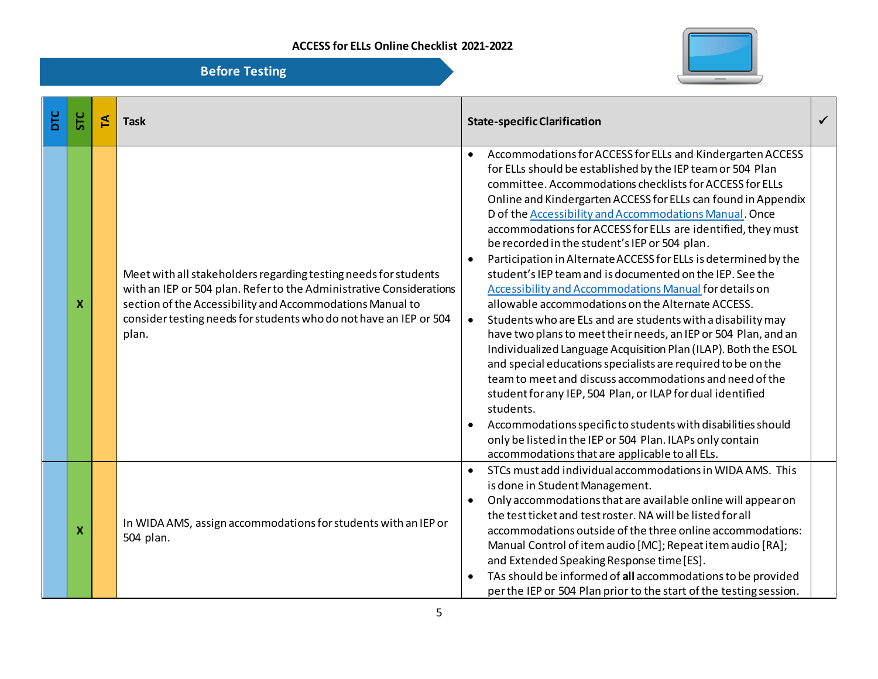

| <b>DIC</b> | <b>STC</b>                | 도 | <b>Task</b>                                                                                                                                                                                                                                                                       | <b>State-specific Clarification</b>                                                                                                                                                                                                                                                                                                                                                                                                                                                                                                                                                                                                                                                                                                                                                                                                                                                                                                                                                                                                                                                                                                                                                                                                                                                              | $\checkmark$ |
|------------|---------------------------|---|-----------------------------------------------------------------------------------------------------------------------------------------------------------------------------------------------------------------------------------------------------------------------------------|--------------------------------------------------------------------------------------------------------------------------------------------------------------------------------------------------------------------------------------------------------------------------------------------------------------------------------------------------------------------------------------------------------------------------------------------------------------------------------------------------------------------------------------------------------------------------------------------------------------------------------------------------------------------------------------------------------------------------------------------------------------------------------------------------------------------------------------------------------------------------------------------------------------------------------------------------------------------------------------------------------------------------------------------------------------------------------------------------------------------------------------------------------------------------------------------------------------------------------------------------------------------------------------------------|--------------|
|            | $\boldsymbol{\mathsf{x}}$ |   | Meet with all stakeholders regarding testing needs for students<br>with an IEP or 504 plan. Refer to the Administrative Considerations<br>section of the Accessibility and Accommodations Manual to<br>consider testing needs for students who do not have an IEP or 504<br>plan. | Accommodations for ACCESS for ELLs and Kindergarten ACCESS<br>$\bullet$<br>for ELLs should be established by the IEP team or 504 Plan<br>committee. Accommodations checklists for ACCESS for ELLs<br>Online and Kindergarten ACCESS for ELLs can found in Appendix<br>D of the Accessibility and Accommodations Manual. Once<br>accommodations for ACCESS for ELLs are identified, they must<br>be recorded in the student's IEP or 504 plan.<br>Participation in Alternate ACCESS for ELLs is determined by the<br>student's IEP team and is documented on the IEP. See the<br>Accessibility and Accommodations Manual for details on<br>allowable accommodations on the Alternate ACCESS.<br>Students who are ELs and are students with a disability may<br>$\bullet$<br>have two plans to meet their needs, an IEP or 504 Plan, and an<br>Individualized Language Acquisition Plan (ILAP). Both the ESOL<br>and special educations specialists are required to be on the<br>team to meet and discuss accommodations and need of the<br>student for any IEP, 504 Plan, or ILAP for dual identified<br>students.<br>Accommodations specific to students with disabilities should<br>only be listed in the IEP or 504 Plan. ILAPs only contain<br>accommodations that are applicable to all ELs. |              |
|            | $\boldsymbol{\mathsf{x}}$ |   | In WIDA AMS, assign accommodations for students with an IEP or<br>504 plan.                                                                                                                                                                                                       | STCs must add individual accommodations in WIDA AMS. This<br>$\bullet$<br>is done in Student Management.<br>Only accommodations that are available online will appear on<br>$\bullet$<br>the test ticket and test roster. NA will be listed for all<br>accommodations outside of the three online accommodations:<br>Manual Control of item audio [MC]; Repeat item audio [RA];<br>and Extended Speaking Response time [ES].<br>TAs should be informed of all accommodations to be provided<br>per the IEP or 504 Plan prior to the start of the testing session.                                                                                                                                                                                                                                                                                                                                                                                                                                                                                                                                                                                                                                                                                                                                |              |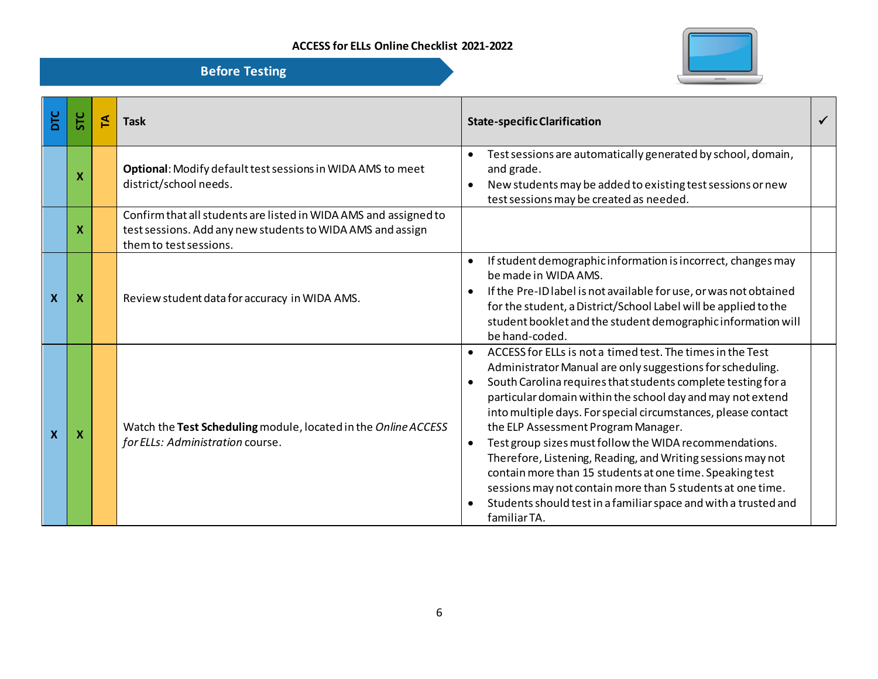

| <b>DIC</b>                | <b>STC</b>                | 집 | <b>Task</b>                                                                                                                                              | <b>State-specific Clarification</b>                                                                                                                                                                                                                                                                                                                                                                                                                                                                                                                                                                                                                                                                                                        | ✓ |
|---------------------------|---------------------------|---|----------------------------------------------------------------------------------------------------------------------------------------------------------|--------------------------------------------------------------------------------------------------------------------------------------------------------------------------------------------------------------------------------------------------------------------------------------------------------------------------------------------------------------------------------------------------------------------------------------------------------------------------------------------------------------------------------------------------------------------------------------------------------------------------------------------------------------------------------------------------------------------------------------------|---|
|                           | X                         |   | Optional: Modify default test sessions in WIDA AMS to meet<br>district/school needs.                                                                     | Test sessions are automatically generated by school, domain,<br>$\bullet$<br>and grade.<br>New students may be added to existing test sessions or new<br>$\bullet$<br>test sessions may be created as needed.                                                                                                                                                                                                                                                                                                                                                                                                                                                                                                                              |   |
|                           | X                         |   | Confirm that all students are listed in WIDA AMS and assigned to<br>test sessions. Add any new students to WIDA AMS and assign<br>them to test sessions. |                                                                                                                                                                                                                                                                                                                                                                                                                                                                                                                                                                                                                                                                                                                                            |   |
| $\boldsymbol{X}$          | $\boldsymbol{\mathsf{X}}$ |   | Review student data for accuracy in WIDA AMS.                                                                                                            | If student demographic information is incorrect, changes may<br>$\bullet$<br>be made in WIDA AMS.<br>If the Pre-ID label is not available for use, or was not obtained<br>for the student, a District/School Label will be applied to the<br>student booklet and the student demographic information will<br>be hand-coded.                                                                                                                                                                                                                                                                                                                                                                                                                |   |
| $\boldsymbol{\mathsf{X}}$ | $\boldsymbol{\mathsf{x}}$ |   | Watch the Test Scheduling module, located in the Online ACCESS<br>for ELLs: Administration course.                                                       | ACCESS for ELLs is not a timed test. The times in the Test<br>$\bullet$<br>Administrator Manual are only suggestions for scheduling.<br>South Carolina requires that students complete testing for a<br>$\bullet$<br>particular domain within the school day and may not extend<br>into multiple days. For special circumstances, please contact<br>the ELP Assessment Program Manager.<br>Test group sizes must follow the WIDA recommendations.<br>$\bullet$<br>Therefore, Listening, Reading, and Writing sessions may not<br>contain more than 15 students at one time. Speaking test<br>sessions may not contain more than 5 students at one time.<br>Students should test in a familiar space and with a trusted and<br>familiar TA. |   |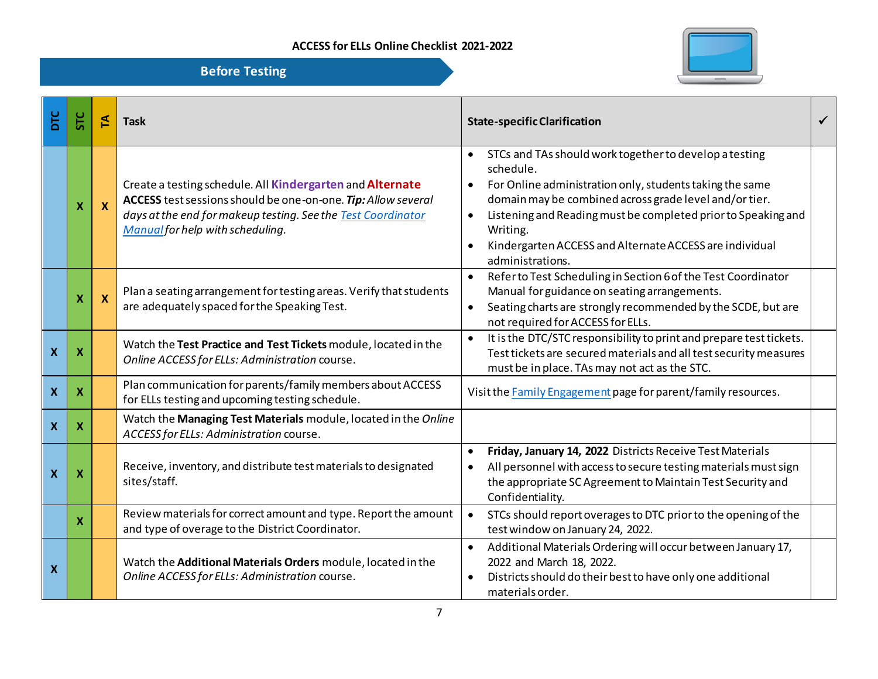

| DTC                       | <b>STC</b>                | 집                         | <b>Task</b>                                                                                                                                                                                                                    | <b>State-specific Clarification</b>                                                                                                                                                                                                                                                                                                                                                          | $\checkmark$ |
|---------------------------|---------------------------|---------------------------|--------------------------------------------------------------------------------------------------------------------------------------------------------------------------------------------------------------------------------|----------------------------------------------------------------------------------------------------------------------------------------------------------------------------------------------------------------------------------------------------------------------------------------------------------------------------------------------------------------------------------------------|--------------|
|                           | $\boldsymbol{X}$          | $\boldsymbol{X}$          | Create a testing schedule. All Kindergarten and Alternate<br>ACCESS test sessions should be one-on-one. Tip: Allow several<br>days at the end for makeup testing. See the Test Coordinator<br>Manual for help with scheduling. | STCs and TAs should work together to develop a testing<br>$\bullet$<br>schedule.<br>For Online administration only, students taking the same<br>$\bullet$<br>domain may be combined across grade level and/or tier.<br>Listening and Reading must be completed prior to Speaking and<br>$\bullet$<br>Writing.<br>Kindergarten ACCESS and Alternate ACCESS are individual<br>administrations. |              |
|                           | X                         | $\boldsymbol{\mathsf{X}}$ | Plan a seating arrangement for testing areas. Verify that students<br>are adequately spaced for the Speaking Test.                                                                                                             | Refer to Test Scheduling in Section 6 of the Test Coordinator<br>$\bullet$<br>Manual for guidance on seating arrangements.<br>Seating charts are strongly recommended by the SCDE, but are<br>$\bullet$<br>not required for ACCESS for ELLs.                                                                                                                                                 |              |
| $\boldsymbol{X}$          | $\boldsymbol{\mathsf{x}}$ |                           | Watch the Test Practice and Test Tickets module, located in the<br>Online ACCESS for ELLs: Administration course.                                                                                                              | It is the DTC/STC responsibility to print and prepare test tickets.<br>$\bullet$<br>Test tickets are secured materials and all test security measures<br>must be in place. TAs may not act as the STC.                                                                                                                                                                                       |              |
| $\boldsymbol{\mathsf{X}}$ | $\boldsymbol{\mathsf{X}}$ |                           | Plan communication for parents/family members about ACCESS<br>for ELLs testing and upcoming testing schedule.                                                                                                                  | Visit the Family Engagement page for parent/family resources.                                                                                                                                                                                                                                                                                                                                |              |
| $\boldsymbol{X}$          | $\boldsymbol{X}$          |                           | Watch the Managing Test Materials module, located in the Online<br>ACCESS for ELLs: Administration course.                                                                                                                     |                                                                                                                                                                                                                                                                                                                                                                                              |              |
| $\boldsymbol{\mathsf{X}}$ | $\boldsymbol{\mathsf{x}}$ |                           | Receive, inventory, and distribute test materials to designated<br>sites/staff.                                                                                                                                                | Friday, January 14, 2022 Districts Receive Test Materials<br>$\bullet$<br>All personnel with access to secure testing materials must sign<br>the appropriate SC Agreement to Maintain Test Security and<br>Confidentiality.                                                                                                                                                                  |              |
|                           | $\boldsymbol{\mathsf{X}}$ |                           | Review materials for correct amount and type. Report the amount<br>and type of overage to the District Coordinator.                                                                                                            | STCs should report overages to DTC prior to the opening of the<br>$\bullet$<br>test window on January 24, 2022.                                                                                                                                                                                                                                                                              |              |
| $\boldsymbol{X}$          |                           |                           | Watch the Additional Materials Orders module, located in the<br>Online ACCESS for ELLs: Administration course.                                                                                                                 | Additional Materials Ordering will occur between January 17,<br>$\bullet$<br>2022 and March 18, 2022.<br>Districts should do their best to have only one additional<br>$\bullet$<br>materials order.                                                                                                                                                                                         |              |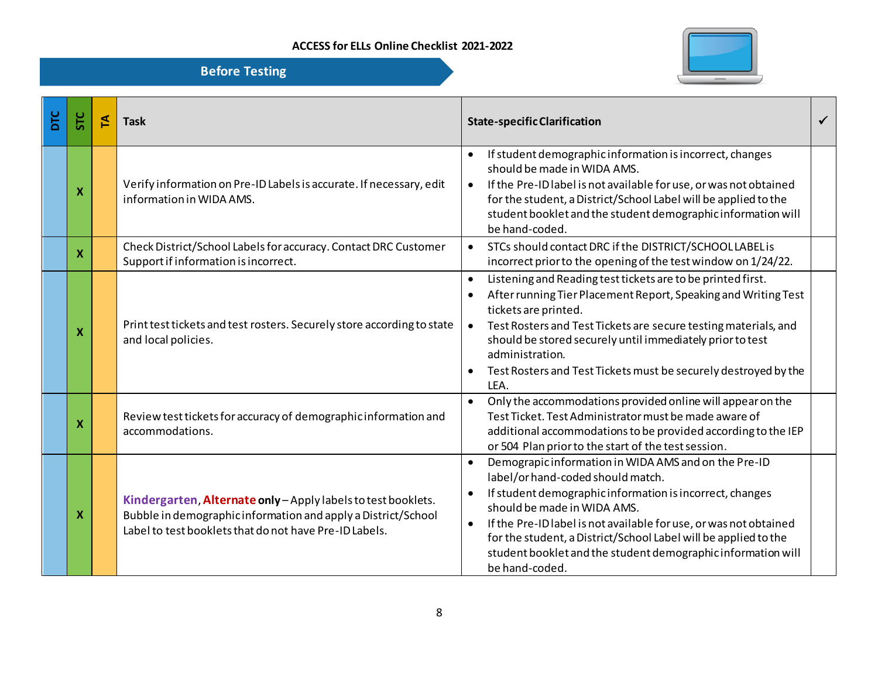

| DTC | 5TC | 돈 | <b>Task</b>                                                                                                                                                                              | <b>State-specific Clarification</b>                                                                                                                                                                                                                                                                                                                                                                                                                   | $\checkmark$ |
|-----|-----|---|------------------------------------------------------------------------------------------------------------------------------------------------------------------------------------------|-------------------------------------------------------------------------------------------------------------------------------------------------------------------------------------------------------------------------------------------------------------------------------------------------------------------------------------------------------------------------------------------------------------------------------------------------------|--------------|
|     | X   |   | Verify information on Pre-ID Labels is accurate. If necessary, edit<br>information in WIDA AMS.                                                                                          | If student demographic information is incorrect, changes<br>$\bullet$<br>should be made in WIDA AMS.<br>If the Pre-ID label is not available for use, or was not obtained<br>$\bullet$<br>for the student, a District/School Label will be applied to the<br>student booklet and the student demographic information will<br>be hand-coded.                                                                                                           |              |
|     | X   |   | Check District/School Labels for accuracy. Contact DRC Customer<br>Support if information is incorrect.                                                                                  | STCs should contact DRC if the DISTRICT/SCHOOLLABEL is<br>$\bullet$<br>incorrect prior to the opening of the test window on 1/24/22.                                                                                                                                                                                                                                                                                                                  |              |
|     | X   |   | Print test tickets and test rosters. Securely store according to state<br>and local policies.                                                                                            | Listening and Reading test tickets are to be printed first.<br>$\bullet$<br>After running Tier Placement Report, Speaking and Writing Test<br>tickets are printed.<br>Test Rosters and Test Tickets are secure testing materials, and<br>$\bullet$<br>should be stored securely until immediately prior to test<br>administration.<br>Test Rosters and Test Tickets must be securely destroyed by the<br>$\bullet$<br>LEA.                            |              |
|     | X   |   | Review test tickets for accuracy of demographic information and<br>accommodations.                                                                                                       | Only the accommodations provided online will appear on the<br>$\bullet$<br>Test Ticket. Test Administrator must be made aware of<br>additional accommodations to be provided according to the IEP<br>or 504 Plan prior to the start of the test session.                                                                                                                                                                                              |              |
|     | X   |   | Kindergarten, Alternate only - Apply labels to test booklets.<br>Bubble in demographic information and apply a District/School<br>Label to test booklets that do not have Pre-ID Labels. | Demograpic information in WIDA AMS and on the Pre-ID<br>$\bullet$<br>label/or hand-coded should match.<br>If student demographic information is incorrect, changes<br>$\bullet$<br>should be made in WIDA AMS.<br>If the Pre-ID label is not available for use, or was not obtained<br>$\bullet$<br>for the student, a District/School Label will be applied to the<br>student booklet and the student demographic information will<br>be hand-coded. |              |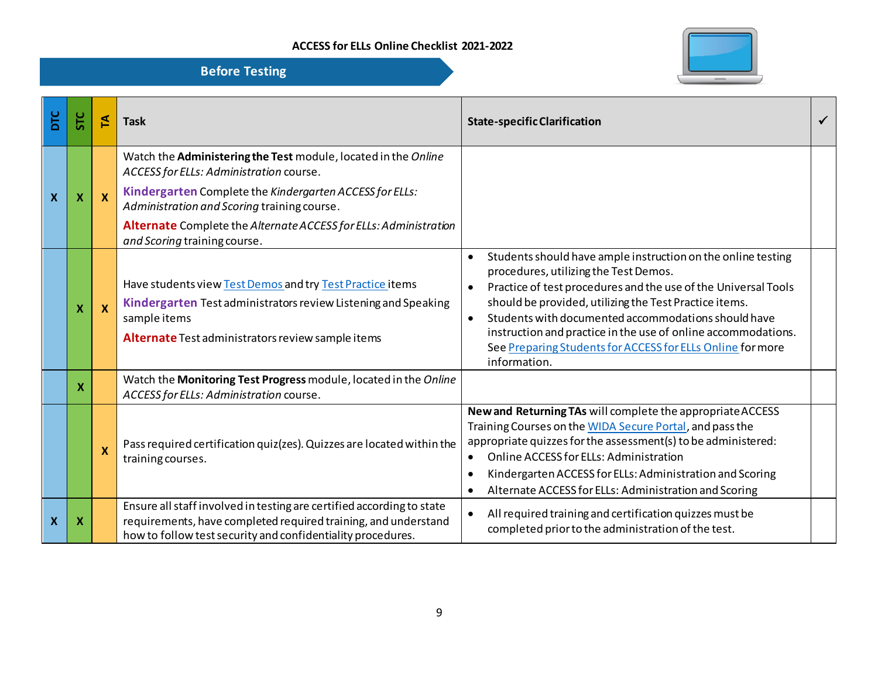

| DТС          | <b>STC</b>                | 집                         | <b>Task</b>                                                                                                                                                                                                                                                                                                             | <b>State-specific Clarification</b>                                                                                                                                                                                                                                                                                                                                                                                                                  |  |
|--------------|---------------------------|---------------------------|-------------------------------------------------------------------------------------------------------------------------------------------------------------------------------------------------------------------------------------------------------------------------------------------------------------------------|------------------------------------------------------------------------------------------------------------------------------------------------------------------------------------------------------------------------------------------------------------------------------------------------------------------------------------------------------------------------------------------------------------------------------------------------------|--|
| $\mathbf{x}$ | $\boldsymbol{X}$          | $\mathbf x$               | Watch the Administering the Test module, located in the Online<br>ACCESS for ELLs: Administration course.<br>Kindergarten Complete the Kindergarten ACCESS for ELLs:<br>Administration and Scoring training course.<br>Alternate Complete the Alternate ACCESS for ELLs: Administration<br>and Scoring training course. |                                                                                                                                                                                                                                                                                                                                                                                                                                                      |  |
|              | $\mathbf x$               | $\boldsymbol{\mathsf{x}}$ | Have students view Test Demos and try Test Practice items<br>Kindergarten Test administrators review Listening and Speaking<br>sample items<br>Alternate Test administrators review sample items                                                                                                                        | Students should have ample instruction on the online testing<br>procedures, utilizing the Test Demos.<br>Practice of test procedures and the use of the Universal Tools<br>should be provided, utilizing the Test Practice items.<br>Students with documented accommodations should have<br>$\bullet$<br>instruction and practice in the use of online accommodations.<br>See Preparing Students for ACCESS for ELLs Online for more<br>information. |  |
|              | X                         |                           | Watch the Monitoring Test Progress module, located in the Online<br>ACCESS for ELLs: Administration course.                                                                                                                                                                                                             |                                                                                                                                                                                                                                                                                                                                                                                                                                                      |  |
|              |                           | $\boldsymbol{\mathsf{x}}$ | Pass required certification quiz(zes). Quizzes are located within the<br>training courses.                                                                                                                                                                                                                              | New and Returning TAs will complete the appropriate ACCESS<br>Training Courses on the WIDA Secure Portal, and pass the<br>appropriate quizzes for the assessment(s) to be administered:<br>Online ACCESS for ELLs: Administration<br>$\bullet$<br>Kindergarten ACCESS for ELLs: Administration and Scoring<br>Alternate ACCESS for ELLs: Administration and Scoring                                                                                  |  |
| $\mathbf{X}$ | $\boldsymbol{\mathsf{x}}$ |                           | Ensure all staff involved in testing are certified according to state<br>requirements, have completed required training, and understand<br>how to follow test security and confidentiality procedures.                                                                                                                  | All required training and certification quizzes must be<br>completed prior to the administration of the test.                                                                                                                                                                                                                                                                                                                                        |  |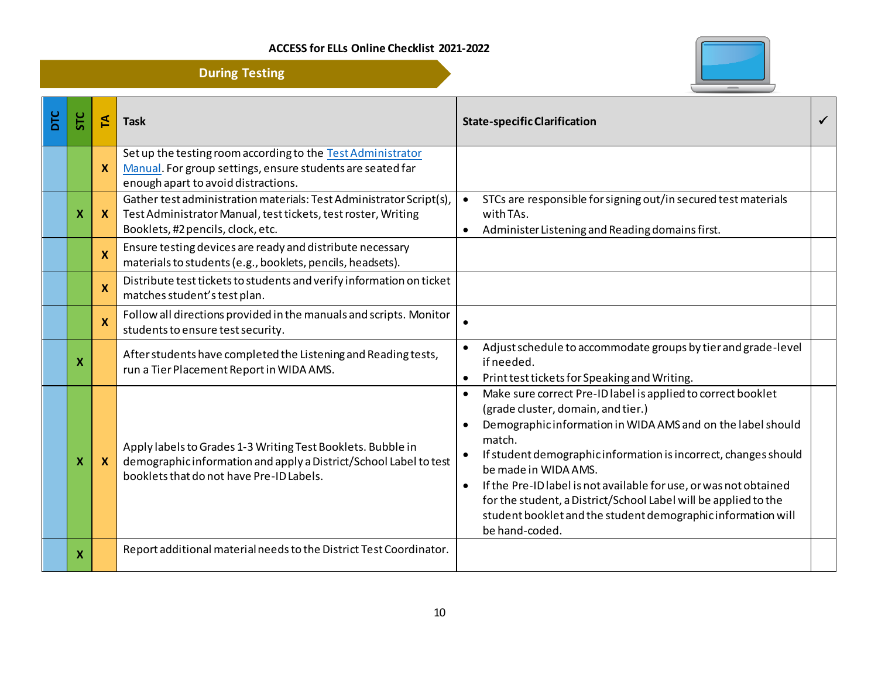

|     |            |              | <b>During Testing</b>                                                                                                                                                        |                                                                                                                                                                                                                                                                                                                                                                                                                                                                                                                                         |              |
|-----|------------|--------------|------------------------------------------------------------------------------------------------------------------------------------------------------------------------------|-----------------------------------------------------------------------------------------------------------------------------------------------------------------------------------------------------------------------------------------------------------------------------------------------------------------------------------------------------------------------------------------------------------------------------------------------------------------------------------------------------------------------------------------|--------------|
| DTC | <b>STC</b> | E            | <b>Task</b>                                                                                                                                                                  | <b>State-specific Clarification</b>                                                                                                                                                                                                                                                                                                                                                                                                                                                                                                     | $\checkmark$ |
|     |            | <b>X</b>     | Set up the testing room according to the Test Administrator<br>Manual. For group settings, ensure students are seated far<br>enough apart to avoid distractions.             |                                                                                                                                                                                                                                                                                                                                                                                                                                                                                                                                         |              |
|     |            | $\mathbf{x}$ | Gather test administration materials: Test Administrator Script(s),<br>Test Administrator Manual, test tickets, test roster, Writing<br>Booklets, #2 pencils, clock, etc.    | STCs are responsible for signing out/in secured test materials<br>$\bullet$<br>with TAs.<br>Administer Listening and Reading domains first.<br>$\bullet$                                                                                                                                                                                                                                                                                                                                                                                |              |
|     |            | $\mathbf x$  | Ensure testing devices are ready and distribute necessary<br>materials to students (e.g., booklets, pencils, headsets).                                                      |                                                                                                                                                                                                                                                                                                                                                                                                                                                                                                                                         |              |
|     |            | $\mathbf x$  | Distribute test tickets to students and verify information on ticket<br>matches student's test plan.                                                                         |                                                                                                                                                                                                                                                                                                                                                                                                                                                                                                                                         |              |
|     |            | X            | Follow all directions provided in the manuals and scripts. Monitor<br>students to ensure test security.                                                                      |                                                                                                                                                                                                                                                                                                                                                                                                                                                                                                                                         |              |
|     | X          |              | After students have completed the Listening and Reading tests,<br>run a Tier Placement Report in WIDA AMS.                                                                   | Adjust schedule to accommodate groups by tier and grade-level<br>if needed.<br>Print test tickets for Speaking and Writing.                                                                                                                                                                                                                                                                                                                                                                                                             |              |
|     | х          | $\mathbf{x}$ | Apply labels to Grades 1-3 Writing Test Booklets. Bubble in<br>demographic information and apply a District/School Label to test<br>booklets that do not have Pre-ID Labels. | Make sure correct Pre-ID label is applied to correct booklet<br>$\bullet$<br>(grade cluster, domain, and tier.)<br>Demographic information in WIDA AMS and on the label should<br>$\bullet$<br>match.<br>If student demographic information is incorrect, changes should<br>be made in WIDA AMS.<br>If the Pre-ID label is not available for use, or was not obtained<br>$\bullet$<br>for the student, a District/School Label will be applied to the<br>student booklet and the student demographic information will<br>be hand-coded. |              |
|     | X          |              | Report additional material needs to the District Test Coordinator.                                                                                                           |                                                                                                                                                                                                                                                                                                                                                                                                                                                                                                                                         |              |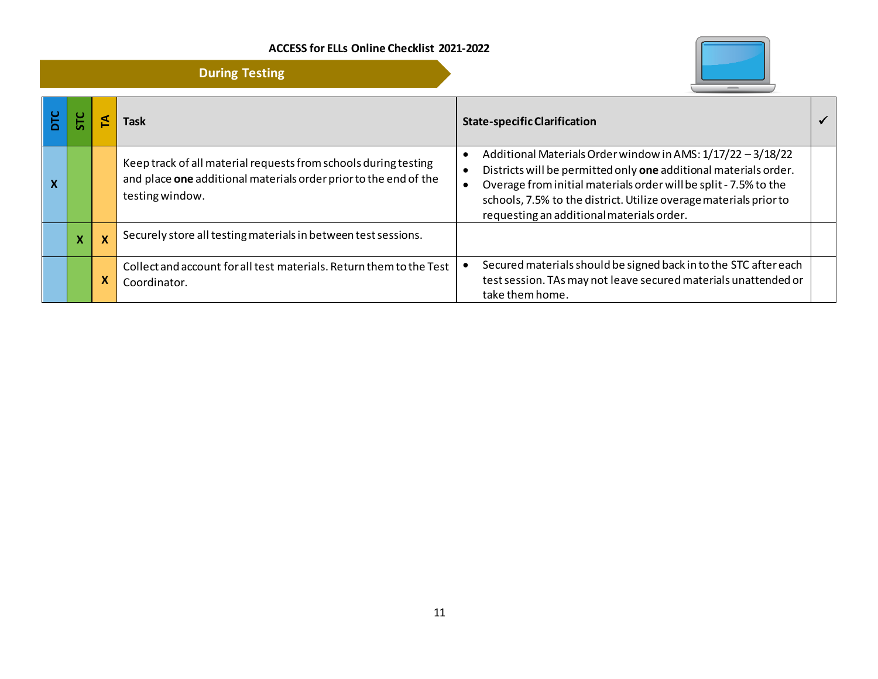**During Testing**



| DTC | <b>C</b> |                           | Task                                                                                                                                                   | <b>State-specific Clarification</b>                                                                                                                                                                                                                                                                                   |  |
|-----|----------|---------------------------|--------------------------------------------------------------------------------------------------------------------------------------------------------|-----------------------------------------------------------------------------------------------------------------------------------------------------------------------------------------------------------------------------------------------------------------------------------------------------------------------|--|
| X   |          |                           | Keep track of all material requests from schools during testing<br>and place one additional materials order prior to the end of the<br>testing window. | Additional Materials Order window in AMS: 1/17/22 - 3/18/22<br>Districts will be permitted only one additional materials order.<br>Overage from initial materials order will be split - 7.5% to the<br>schools, 7.5% to the district. Utilize overage materials prior to<br>requesting an additional materials order. |  |
|     |          | $\boldsymbol{\mathsf{X}}$ | Securely store all testing materials in between test sessions.                                                                                         |                                                                                                                                                                                                                                                                                                                       |  |
|     |          | X                         | Collect and account for all test materials. Return them to the Test<br>Coordinator.                                                                    | Secured materials should be signed back in to the STC after each<br>test session. TAs may not leave secured materials unattended or<br>take them home.                                                                                                                                                                |  |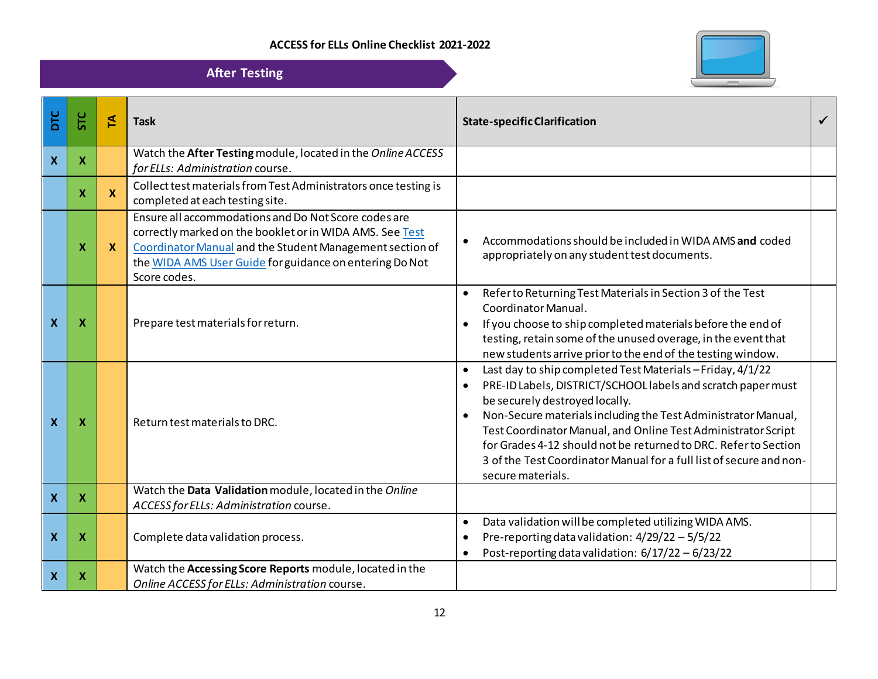

| <b>After Testing</b>      |                           |                           |                                                                                                                                                                                                                                                         |                                                                                                                                                                                                                                                                                                                                                                                                                                                             |  |  |  |
|---------------------------|---------------------------|---------------------------|---------------------------------------------------------------------------------------------------------------------------------------------------------------------------------------------------------------------------------------------------------|-------------------------------------------------------------------------------------------------------------------------------------------------------------------------------------------------------------------------------------------------------------------------------------------------------------------------------------------------------------------------------------------------------------------------------------------------------------|--|--|--|
| <b>DIC</b>                | <b>STC</b>                | 집                         | <b>Task</b>                                                                                                                                                                                                                                             | <b>State-specific Clarification</b>                                                                                                                                                                                                                                                                                                                                                                                                                         |  |  |  |
| $\boldsymbol{X}$          | $\boldsymbol{X}$          |                           | Watch the After Testing module, located in the Online ACCESS<br>for ELLs: Administration course.                                                                                                                                                        |                                                                                                                                                                                                                                                                                                                                                                                                                                                             |  |  |  |
|                           | $\boldsymbol{\mathsf{x}}$ | $\boldsymbol{\mathsf{x}}$ | Collect test materials from Test Administrators once testing is<br>completed at each testing site.                                                                                                                                                      |                                                                                                                                                                                                                                                                                                                                                                                                                                                             |  |  |  |
|                           | х                         | $\boldsymbol{\mathsf{X}}$ | Ensure all accommodations and Do Not Score codes are<br>correctly marked on the booklet or in WIDA AMS. See Test<br>Coordinator Manual and the Student Management section of<br>the WIDA AMS User Guide for guidance on entering Do Not<br>Score codes. | Accommodations should be included in WIDA AMS and coded<br>appropriately on any student test documents.                                                                                                                                                                                                                                                                                                                                                     |  |  |  |
| $\boldsymbol{\mathsf{x}}$ | Х                         |                           | Prepare test materials for return.                                                                                                                                                                                                                      | Refer to Returning Test Materials in Section 3 of the Test<br>Coordinator Manual.<br>If you choose to ship completed materials before the end of<br>testing, retain some of the unused overage, in the event that<br>new students arrive prior to the end of the testing window.                                                                                                                                                                            |  |  |  |
| $\mathbf x$               | Х                         |                           | Return test materials to DRC.                                                                                                                                                                                                                           | Last day to ship completed Test Materials-Friday, 4/1/22<br>PRE-ID Labels, DISTRICT/SCHOOL labels and scratch paper must<br>be securely destroyed locally.<br>Non-Secure materials including the Test Administrator Manual,<br>Test Coordinator Manual, and Online Test Administrator Script<br>for Grades 4-12 should not be returned to DRC. Refer to Section<br>3 of the Test Coordinator Manual for a full list of secure and non-<br>secure materials. |  |  |  |
| $\mathbf{x}$              | $\boldsymbol{\mathsf{X}}$ |                           | Watch the Data Validation module, located in the Online<br>ACCESS for ELLs: Administration course.                                                                                                                                                      |                                                                                                                                                                                                                                                                                                                                                                                                                                                             |  |  |  |
| $\boldsymbol{X}$          | $\boldsymbol{\mathsf{X}}$ |                           | Complete data validation process.                                                                                                                                                                                                                       | Data validation will be completed utilizing WIDA AMS.<br>Pre-reporting data validation: 4/29/22 - 5/5/22<br>Post-reporting data validation: 6/17/22 - 6/23/22                                                                                                                                                                                                                                                                                               |  |  |  |
| $\boldsymbol{X}$          | X                         |                           | Watch the Accessing Score Reports module, located in the<br>Online ACCESS for ELLs: Administration course.                                                                                                                                              |                                                                                                                                                                                                                                                                                                                                                                                                                                                             |  |  |  |